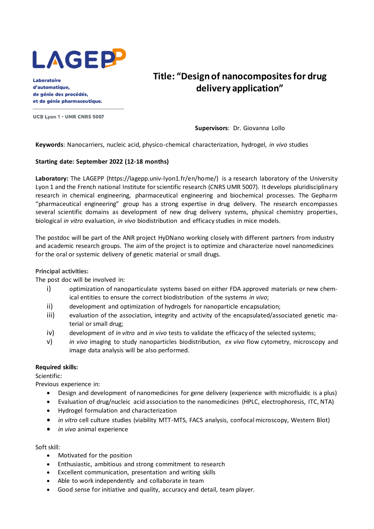

Laboratoire d'automatique. de génie des procédés. et de génie pharmaceutique.

UCB Lyon 1 - UMR CNRS 5007

## **Title: "Design of nanocomposites for drug delivery application"**

**Supervisors**: Dr. Giovanna Lollo

**Keywords**: Nanocarriers, nucleic acid, physico-chemical characterization, hydrogel, *in vivo* studies

## **Starting date: September 2022 (12-18 months)**

Laboratory: The LAGEPP (https://lagepp.univ-lyon1.fr/en/home/) is a research laboratory of the University Lyon 1 and the French national Institute for scientific research (CNRS UMR 5007). It develops pluridisciplinary research in chemical engineering, pharmaceutical engineering and biochemical processes. The Gepharm "pharmaceutical engineering" group has a strong expertise in drug delivery. The research encompasses several scientific domains as development of new drug delivery systems, physical chemistry properties, biological *in vitro* evaluation, *in vivo* biodistribution and efficacy studies in mice models.

The postdoc will be part of the ANR project HyDNano working closely with different partners from industry and academic research groups. The aim of the project is to optimize and characterize novel nanomedicines for the oral or systemic delivery of genetic material or small drugs.

**Principal activities:**

The post doc will be involved in:

- i) optimization of nanoparticulate systems based on either FDA approved materials or new chemical entities to ensure the correct biodistribution of the systems *in vivo*;
- ii) development and optimization of hydrogels for nanoparticle encapsulation;
- iii) evaluation of the association, integrity and activity of the encapsulated/associated genetic material or small drug;
- iv) development of *in vitro* and *in vivo* tests to validate the efficacy of the selected systems;
- v) *in vivo* imaging to study nanoparticles biodistribution, *ex vivo* flow cytometry, microscopy and image data analysis will be also performed.

## **Required skills:**

Scientific:

Previous experience in:

- Design and development of nanomedicines for gene delivery (experience with microfluidic is a plus)
- Evaluation of drug/nucleic acid association to the nanomedicines (HPLC, electrophoresis, ITC, NTA)
- Hydrogel formulation and characterization
- *in vitro* cell culture studies (viability MTT-MTS, FACS analysis, confocal microscopy, Western Blot)
- *in vivo* animal experience

Soft skill:

- Motivated for the position
- Enthusiastic, ambitious and strong commitment to research
- Excellent communication, presentation and writing skills
- Able to work independently and collaborate in team
- Good sense for initiative and quality, accuracy and detail, team player.